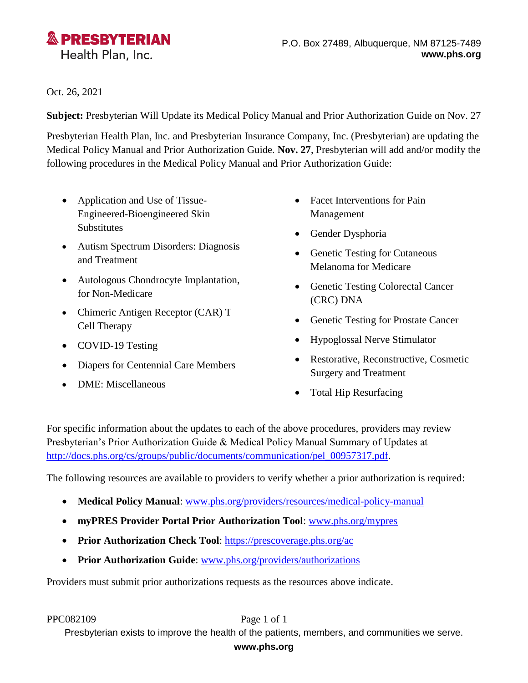

Oct. 26, 2021

**Subject:** Presbyterian Will Update its Medical Policy Manual and Prior Authorization Guide on Nov. 27

Presbyterian Health Plan, Inc. and Presbyterian Insurance Company, Inc. (Presbyterian) are updating the Medical Policy Manual and Prior Authorization Guide. **Nov. 27**, Presbyterian will add and/or modify the following procedures in the Medical Policy Manual and Prior Authorization Guide:

- Application and Use of Tissue-Engineered-Bioengineered Skin Substitutes
- Autism Spectrum Disorders: Diagnosis and Treatment
- Autologous Chondrocyte Implantation, for Non-Medicare
- Chimeric Antigen Receptor (CAR) T Cell Therapy
- COVID-19 Testing
- Diapers for Centennial Care Members
- DME: Miscellaneous
- Facet Interventions for Pain Management
- Gender Dysphoria
- Genetic Testing for Cutaneous Melanoma for Medicare
- Genetic Testing Colorectal Cancer (CRC) DNA
- Genetic Testing for Prostate Cancer
- Hypoglossal Nerve Stimulator
- Restorative, Reconstructive, Cosmetic Surgery and Treatment
- Total Hip Resurfacing

For specific information about the updates to each of the above procedures, providers may review Presbyterian's Prior Authorization Guide & Medical Policy Manual Summary of Updates at [http://docs.phs.org/cs/groups/public/documents/communication/pel\\_00957317.pdf.](http://docs.phs.org/cs/groups/public/documents/communication/pel_00957317.pdf)

The following resources are available to providers to verify whether a prior authorization is required:

- **Medical Policy Manual**: [www.phs.org/providers/resources/medical-policy-manual](http://www.phs.org/providers/resources/medical-policy-manual)
- **myPRES Provider Portal Prior Authorization Tool**: [www.phs.org/mypres](http://www.phs.org/mypres)
- **Prior Authorization Check Tool:** [https://prescoverage.phs.org/ac](https://prescoverage.phs.org/ac/)
- **Prior Authorization Guide**: [www.phs.org/providers/authorizations](http://www.phs.org/providers/authorizations)

Providers must submit prior authorizations requests as the resources above indicate.

PPC082109 Page 1 of 1

Presbyterian exists to improve the health of the patients, members, and communities we serve.

## **www.phs.org**